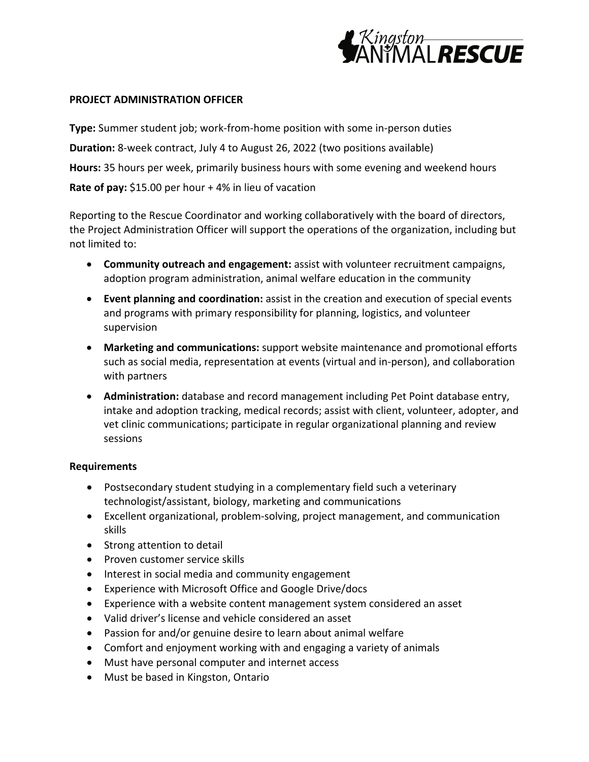

## **PROJECT ADMINISTRATION OFFICER**

**Type:** Summer student job; work-from-home position with some in-person duties **Duration:** 8-week contract, July 4 to August 26, 2022 (two positions available) **Hours:** 35 hours per week, primarily business hours with some evening and weekend hours **Rate of pay:** \$15.00 per hour + 4% in lieu of vacation

Reporting to the Rescue Coordinator and working collaboratively with the board of directors, the Project Administration Officer will support the operations of the organization, including but not limited to:

- **Community outreach and engagement:** assist with volunteer recruitment campaigns, adoption program administration, animal welfare education in the community
- **Event planning and coordination:** assist in the creation and execution of special events and programs with primary responsibility for planning, logistics, and volunteer supervision
- **Marketing and communications:** support website maintenance and promotional efforts such as social media, representation at events (virtual and in-person), and collaboration with partners
- **Administration:** database and record management including Pet Point database entry, intake and adoption tracking, medical records; assist with client, volunteer, adopter, and vet clinic communications; participate in regular organizational planning and review sessions

## **Requirements**

- Postsecondary student studying in a complementary field such a veterinary technologist/assistant, biology, marketing and communications
- Excellent organizational, problem-solving, project management, and communication skills
- Strong attention to detail
- Proven customer service skills
- Interest in social media and community engagement
- Experience with Microsoft Office and Google Drive/docs
- Experience with a website content management system considered an asset
- Valid driver's license and vehicle considered an asset
- Passion for and/or genuine desire to learn about animal welfare
- Comfort and enjoyment working with and engaging a variety of animals
- Must have personal computer and internet access
- Must be based in Kingston, Ontario